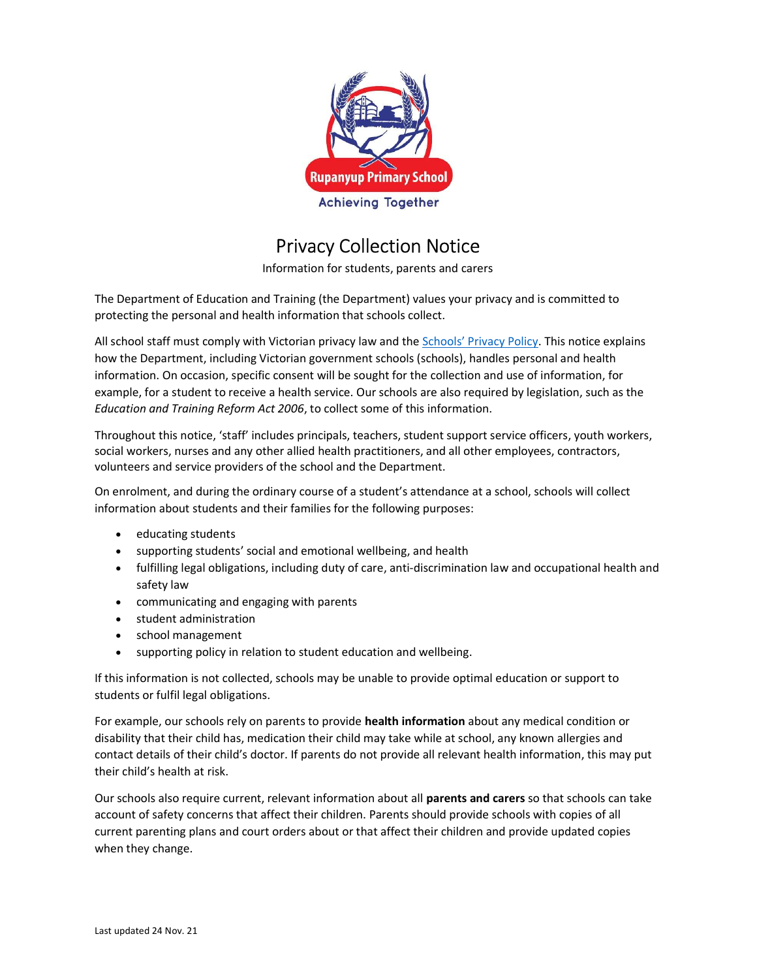

## Privacy Collection Notice

Information for students, parents and carers

The Department of Education and Training (the Department) values your privacy and is committed to protecting the personal and health information that schools collect.

All school staff must comply with Victorian privacy law and the Schools' Privacy Policy. This notice explains how the Department, including Victorian government schools (schools), handles personal and health information. On occasion, specific consent will be sought for the collection and use of information, for example, for a student to receive a health service. Our schools are also required by legislation, such as the Education and Training Reform Act 2006, to collect some of this information.

Throughout this notice, 'staff' includes principals, teachers, student support service officers, youth workers, social workers, nurses and any other allied health practitioners, and all other employees, contractors, volunteers and service providers of the school and the Department.

On enrolment, and during the ordinary course of a student's attendance at a school, schools will collect information about students and their families for the following purposes:

- educating students
- supporting students' social and emotional wellbeing, and health
- fulfilling legal obligations, including duty of care, anti-discrimination law and occupational health and safety law
- communicating and engaging with parents
- student administration
- school management
- supporting policy in relation to student education and wellbeing.

If this information is not collected, schools may be unable to provide optimal education or support to students or fulfil legal obligations.

For example, our schools rely on parents to provide health information about any medical condition or disability that their child has, medication their child may take while at school, any known allergies and contact details of their child's doctor. If parents do not provide all relevant health information, this may put their child's health at risk.

Our schools also require current, relevant information about all parents and carers so that schools can take account of safety concerns that affect their children. Parents should provide schools with copies of all current parenting plans and court orders about or that affect their children and provide updated copies when they change.